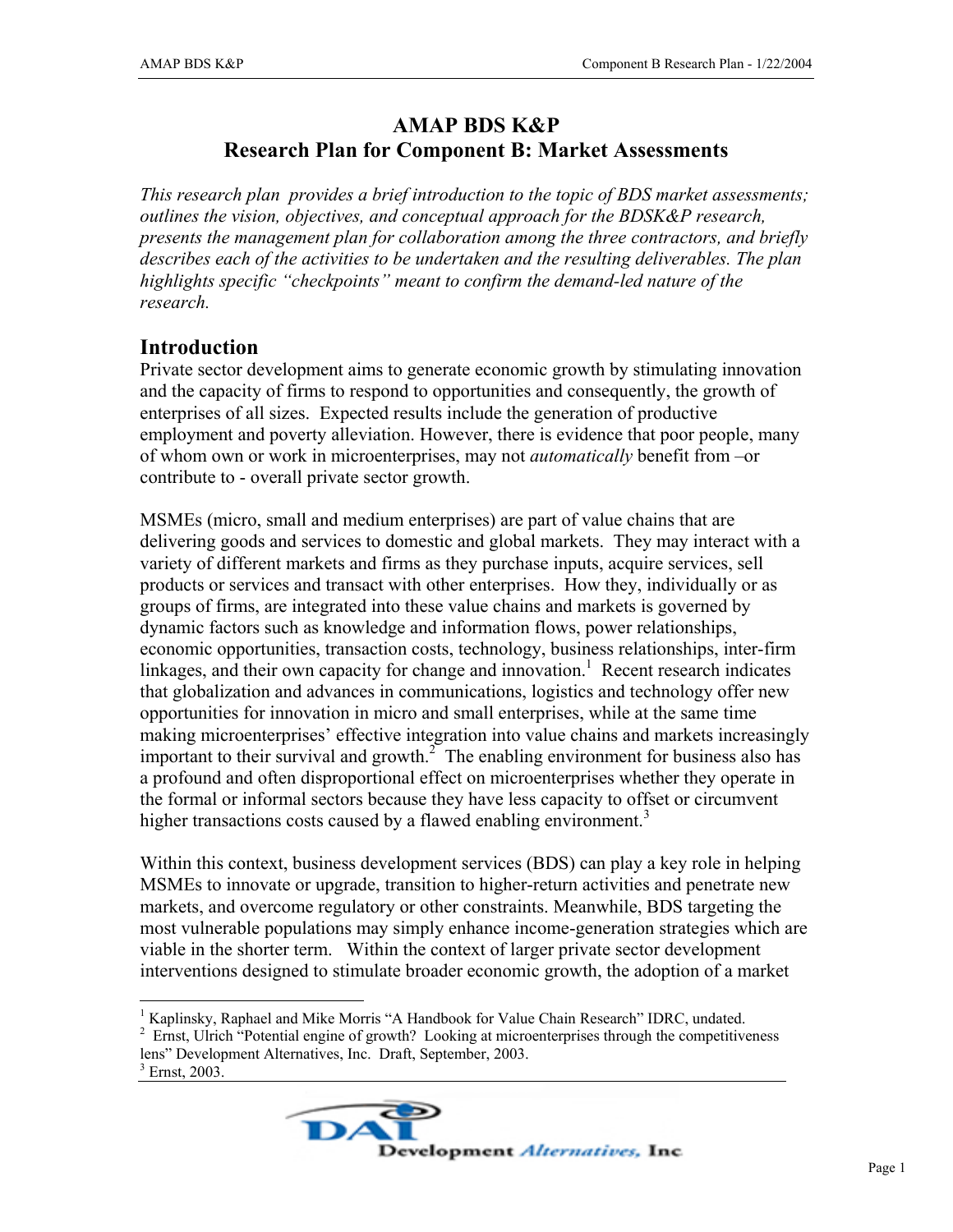## **AMAP BDS K&P Research Plan for Component B: Market Assessments**

*This research plan provides a brief introduction to the topic of BDS market assessments; outlines the vision, objectives, and conceptual approach for the BDSK&P research, presents the management plan for collaboration among the three contractors, and briefly describes each of the activities to be undertaken and the resulting deliverables. The plan highlights specific "checkpoints" meant to confirm the demand-led nature of the research.* 

## **Introduction**

Private sector development aims to generate economic growth by stimulating innovation and the capacity of firms to respond to opportunities and consequently, the growth of enterprises of all sizes. Expected results include the generation of productive employment and poverty alleviation. However, there is evidence that poor people, many of whom own or work in microenterprises, may not *automatically* benefit from –or contribute to - overall private sector growth.

MSMEs (micro, small and medium enterprises) are part of value chains that are delivering goods and services to domestic and global markets. They may interact with a variety of different markets and firms as they purchase inputs, acquire services, sell products or services and transact with other enterprises. How they, individually or as groups of firms, are integrated into these value chains and markets is governed by dynamic factors such as knowledge and information flows, power relationships, economic opportunities, transaction costs, technology, business relationships, inter-firm linkages, and their own capacity for change and innovation.<sup>1</sup> Recent research indicates that globalization and advances in communications, logistics and technology offer new opportunities for innovation in micro and small enterprises, while at the same time making microenterprises' effective integration into value chains and markets increasingly important to their survival and growth. $2^{\degree}$  The enabling environment for business also has a profound and often disproportional effect on microenterprises whether they operate in the formal or informal sectors because they have less capacity to offset or circumvent higher transactions costs caused by a flawed enabling environment.<sup>3</sup>

Within this context, business development services (BDS) can play a key role in helping MSMEs to innovate or upgrade, transition to higher-return activities and penetrate new markets, and overcome regulatory or other constraints. Meanwhile, BDS targeting the most vulnerable populations may simply enhance income-generation strategies which are viable in the shorter term. Within the context of larger private sector development interventions designed to stimulate broader economic growth, the adoption of a market

 $\overline{a}$ 



<sup>&</sup>lt;sup>1</sup> Kaplinsky, Raphael and Mike Morris "A Handbook for Value Chain Research" IDRC, undated.

<sup>&</sup>lt;sup>2</sup> Ernst, Ulrich "Potential engine of growth? Looking at microenterprises through the competitiveness lens" Development Alternatives, Inc. Draft, September, 2003.

 $3$  Ernst, 2003.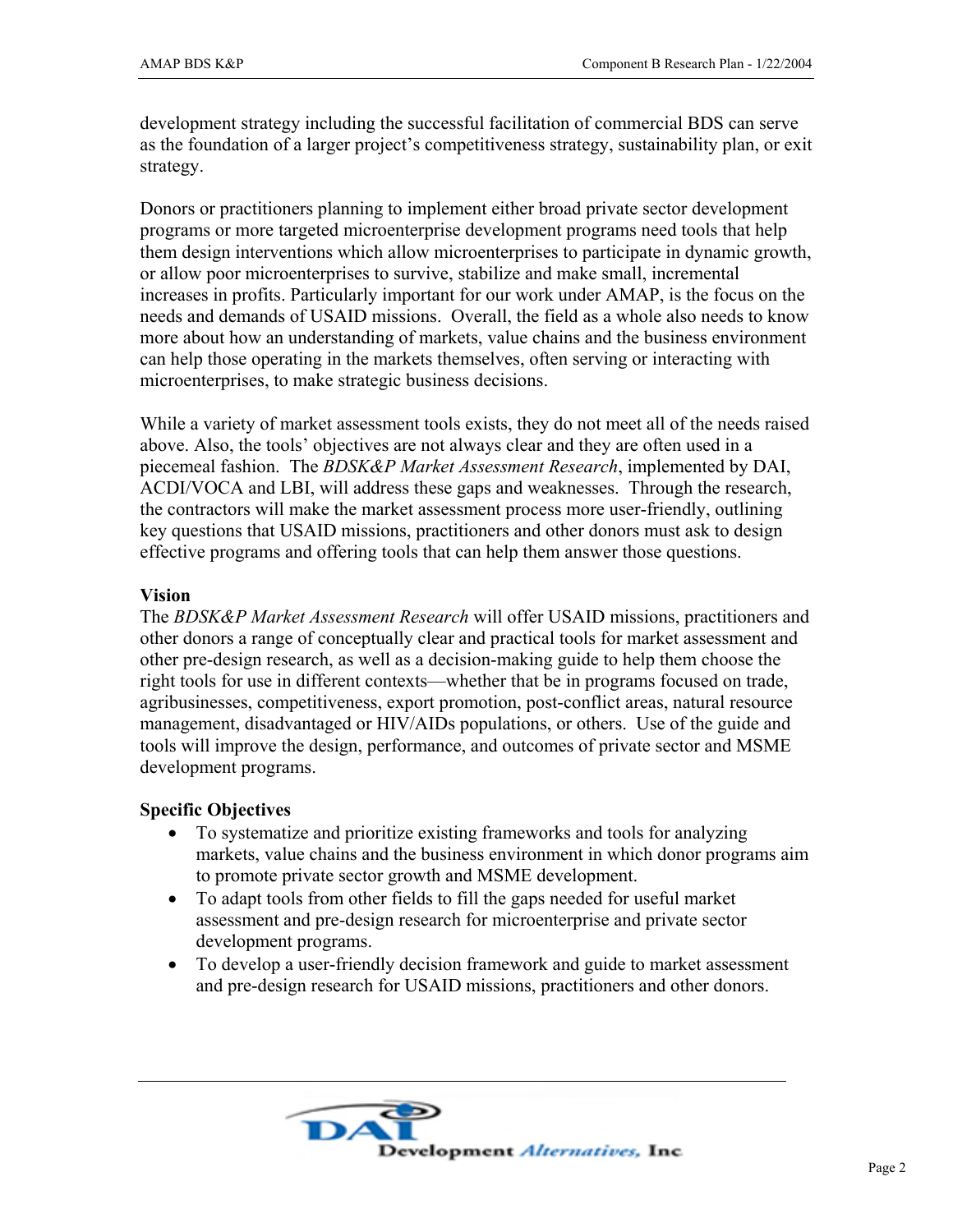development strategy including the successful facilitation of commercial BDS can serve as the foundation of a larger project's competitiveness strategy, sustainability plan, or exit strategy.

Donors or practitioners planning to implement either broad private sector development programs or more targeted microenterprise development programs need tools that help them design interventions which allow microenterprises to participate in dynamic growth, or allow poor microenterprises to survive, stabilize and make small, incremental increases in profits. Particularly important for our work under AMAP, is the focus on the needs and demands of USAID missions. Overall, the field as a whole also needs to know more about how an understanding of markets, value chains and the business environment can help those operating in the markets themselves, often serving or interacting with microenterprises, to make strategic business decisions.

While a variety of market assessment tools exists, they do not meet all of the needs raised above. Also, the tools' objectives are not always clear and they are often used in a piecemeal fashion. The *BDSK&P Market Assessment Research*, implemented by DAI, ACDI/VOCA and LBI, will address these gaps and weaknesses. Through the research, the contractors will make the market assessment process more user-friendly, outlining key questions that USAID missions, practitioners and other donors must ask to design effective programs and offering tools that can help them answer those questions.

#### **Vision**

The *BDSK&P Market Assessment Research* will offer USAID missions, practitioners and other donors a range of conceptually clear and practical tools for market assessment and other pre-design research, as well as a decision-making guide to help them choose the right tools for use in different contexts—whether that be in programs focused on trade, agribusinesses, competitiveness, export promotion, post-conflict areas, natural resource management, disadvantaged or HIV/AIDs populations, or others. Use of the guide and tools will improve the design, performance, and outcomes of private sector and MSME development programs.

### **Specific Objectives**

- To systematize and prioritize existing frameworks and tools for analyzing markets, value chains and the business environment in which donor programs aim to promote private sector growth and MSME development.
- To adapt tools from other fields to fill the gaps needed for useful market assessment and pre-design research for microenterprise and private sector development programs.
- To develop a user-friendly decision framework and guide to market assessment and pre-design research for USAID missions, practitioners and other donors.

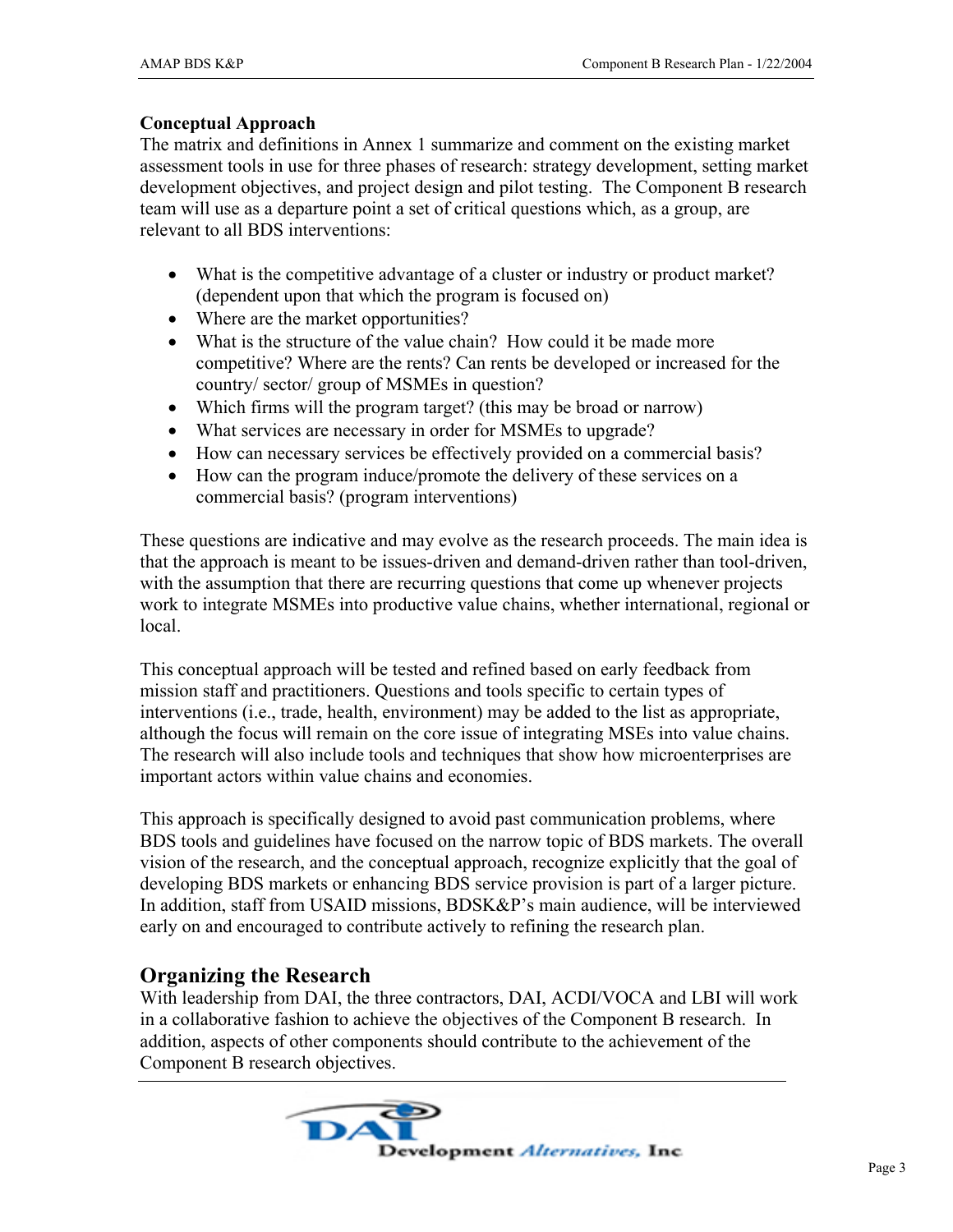### **Conceptual Approach**

The matrix and definitions in Annex 1 summarize and comment on the existing market assessment tools in use for three phases of research: strategy development, setting market development objectives, and project design and pilot testing. The Component B research team will use as a departure point a set of critical questions which, as a group, are relevant to all BDS interventions:

- What is the competitive advantage of a cluster or industry or product market? (dependent upon that which the program is focused on)
- Where are the market opportunities?
- What is the structure of the value chain? How could it be made more competitive? Where are the rents? Can rents be developed or increased for the country/ sector/ group of MSMEs in question?
- Which firms will the program target? (this may be broad or narrow)
- What services are necessary in order for MSMEs to upgrade?
- How can necessary services be effectively provided on a commercial basis?
- How can the program induce/promote the delivery of these services on a commercial basis? (program interventions)

These questions are indicative and may evolve as the research proceeds. The main idea is that the approach is meant to be issues-driven and demand-driven rather than tool-driven, with the assumption that there are recurring questions that come up whenever projects work to integrate MSMEs into productive value chains, whether international, regional or local.

This conceptual approach will be tested and refined based on early feedback from mission staff and practitioners. Questions and tools specific to certain types of interventions (i.e., trade, health, environment) may be added to the list as appropriate, although the focus will remain on the core issue of integrating MSEs into value chains. The research will also include tools and techniques that show how microenterprises are important actors within value chains and economies.

This approach is specifically designed to avoid past communication problems, where BDS tools and guidelines have focused on the narrow topic of BDS markets. The overall vision of the research, and the conceptual approach, recognize explicitly that the goal of developing BDS markets or enhancing BDS service provision is part of a larger picture. In addition, staff from USAID missions, BDSK&P's main audience, will be interviewed early on and encouraged to contribute actively to refining the research plan.

## **Organizing the Research**

With leadership from DAI, the three contractors, DAI, ACDI/VOCA and LBI will work in a collaborative fashion to achieve the objectives of the Component B research. In addition, aspects of other components should contribute to the achievement of the Component B research objectives.

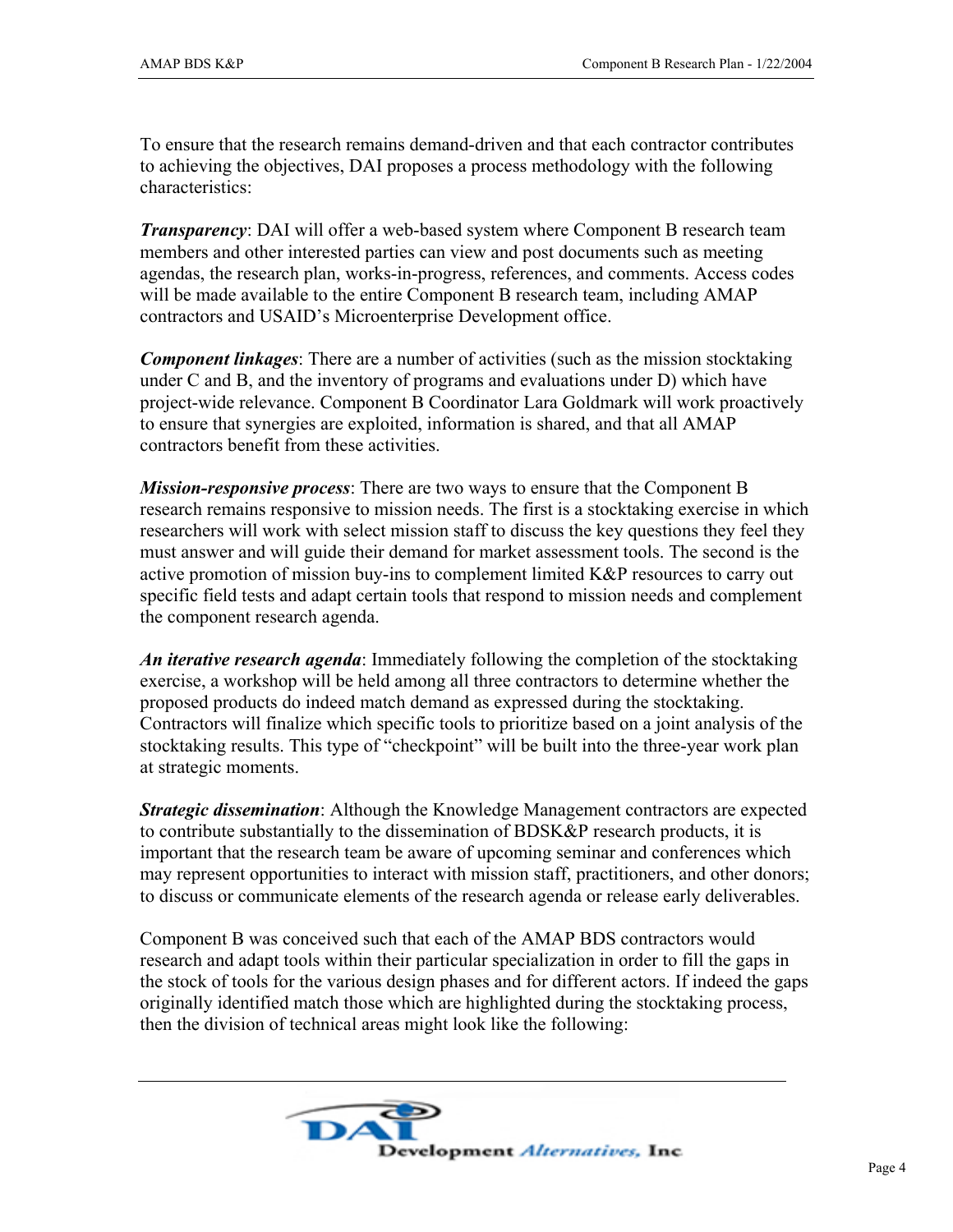To ensure that the research remains demand-driven and that each contractor contributes to achieving the objectives, DAI proposes a process methodology with the following characteristics:

*Transparency*: DAI will offer a web-based system where Component B research team members and other interested parties can view and post documents such as meeting agendas, the research plan, works-in-progress, references, and comments. Access codes will be made available to the entire Component B research team, including AMAP contractors and USAID's Microenterprise Development office.

*Component linkages*: There are a number of activities (such as the mission stocktaking under C and B, and the inventory of programs and evaluations under D) which have project-wide relevance. Component B Coordinator Lara Goldmark will work proactively to ensure that synergies are exploited, information is shared, and that all AMAP contractors benefit from these activities.

*Mission-responsive process*: There are two ways to ensure that the Component B research remains responsive to mission needs. The first is a stocktaking exercise in which researchers will work with select mission staff to discuss the key questions they feel they must answer and will guide their demand for market assessment tools. The second is the active promotion of mission buy-ins to complement limited K&P resources to carry out specific field tests and adapt certain tools that respond to mission needs and complement the component research agenda.

*An iterative research agenda*: Immediately following the completion of the stocktaking exercise, a workshop will be held among all three contractors to determine whether the proposed products do indeed match demand as expressed during the stocktaking. Contractors will finalize which specific tools to prioritize based on a joint analysis of the stocktaking results. This type of "checkpoint" will be built into the three-year work plan at strategic moments.

*Strategic dissemination*: Although the Knowledge Management contractors are expected to contribute substantially to the dissemination of BDSK&P research products, it is important that the research team be aware of upcoming seminar and conferences which may represent opportunities to interact with mission staff, practitioners, and other donors; to discuss or communicate elements of the research agenda or release early deliverables.

Component B was conceived such that each of the AMAP BDS contractors would research and adapt tools within their particular specialization in order to fill the gaps in the stock of tools for the various design phases and for different actors. If indeed the gaps originally identified match those which are highlighted during the stocktaking process, then the division of technical areas might look like the following:

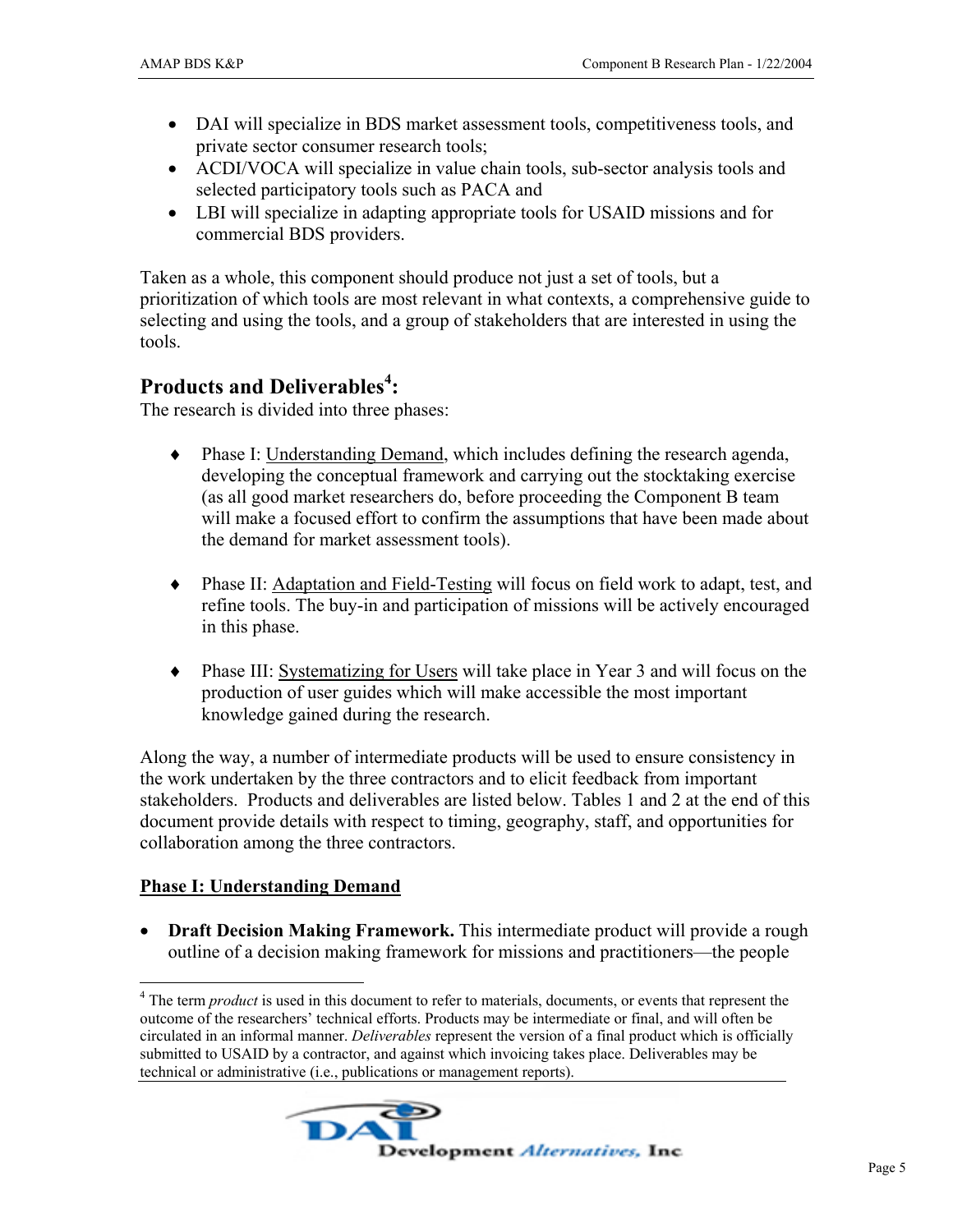- DAI will specialize in BDS market assessment tools, competitiveness tools, and private sector consumer research tools;
- ACDI/VOCA will specialize in value chain tools, sub-sector analysis tools and selected participatory tools such as PACA and
- LBI will specialize in adapting appropriate tools for USAID missions and for commercial BDS providers.

Taken as a whole, this component should produce not just a set of tools, but a prioritization of which tools are most relevant in what contexts, a comprehensive guide to selecting and using the tools, and a group of stakeholders that are interested in using the tools.

# **Products and Deliverables<sup>4</sup> :**

The research is divided into three phases:

- ♦ Phase I: Understanding Demand, which includes defining the research agenda, developing the conceptual framework and carrying out the stocktaking exercise (as all good market researchers do, before proceeding the Component B team will make a focused effort to confirm the assumptions that have been made about the demand for market assessment tools).
- ♦ Phase II: Adaptation and Field-Testing will focus on field work to adapt, test, and refine tools. The buy-in and participation of missions will be actively encouraged in this phase.
- ♦ Phase III: Systematizing for Users will take place in Year 3 and will focus on the production of user guides which will make accessible the most important knowledge gained during the research.

Along the way, a number of intermediate products will be used to ensure consistency in the work undertaken by the three contractors and to elicit feedback from important stakeholders. Products and deliverables are listed below. Tables 1 and 2 at the end of this document provide details with respect to timing, geography, staff, and opportunities for collaboration among the three contractors.

## **Phase I: Understanding Demand**

 $\overline{a}$ 

• **Draft Decision Making Framework.** This intermediate product will provide a rough outline of a decision making framework for missions and practitioners—the people

<sup>&</sup>lt;sup>4</sup> The term *product* is used in this document to refer to materials, documents, or events that represent the outcome of the researchers' technical efforts. Products may be intermediate or final, and will often be circulated in an informal manner. *Deliverables* represent the version of a final product which is officially submitted to USAID by a contractor, and against which invoicing takes place. Deliverables may be technical or administrative (i.e., publications or management reports).

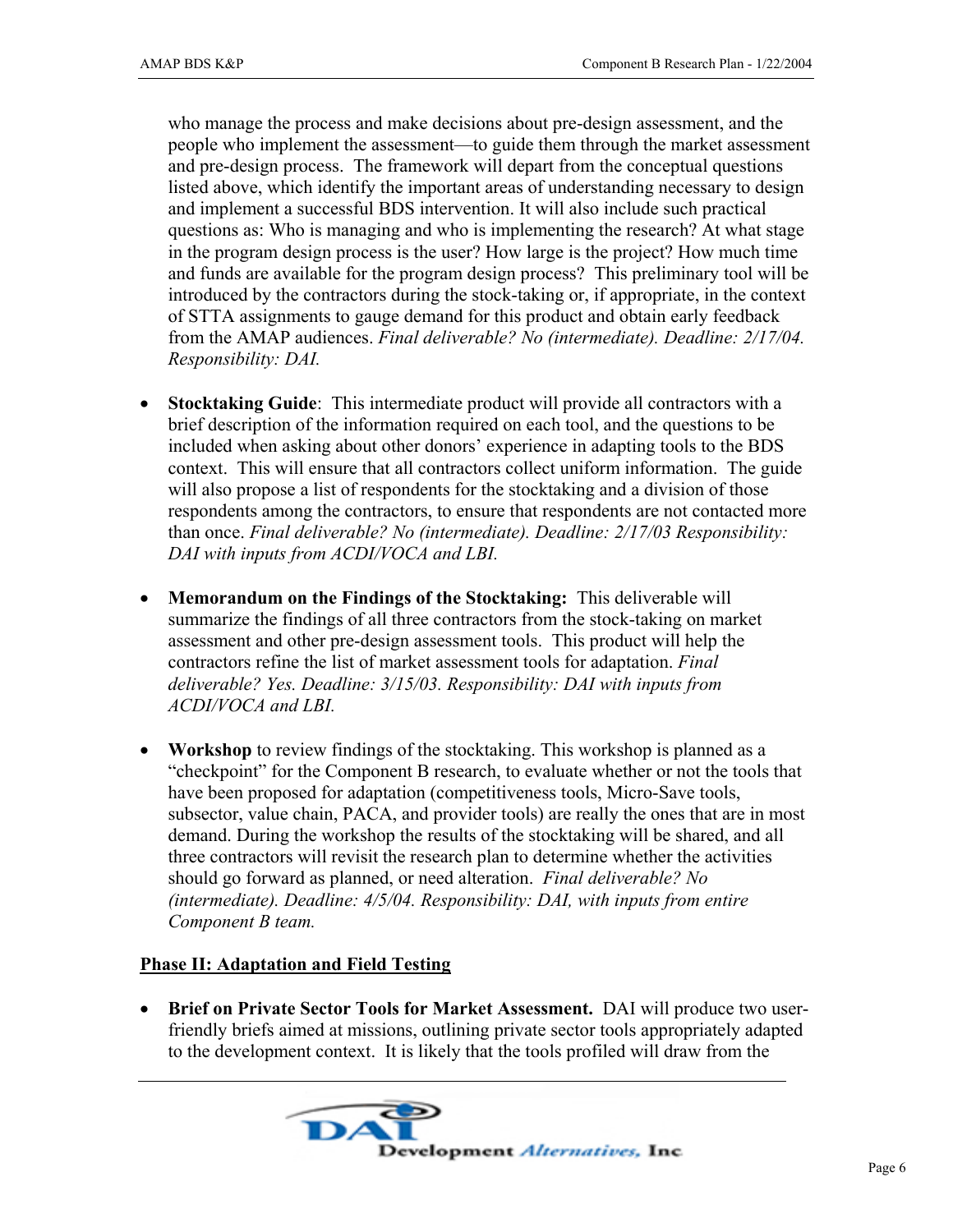who manage the process and make decisions about pre-design assessment, and the people who implement the assessment—to guide them through the market assessment and pre-design process. The framework will depart from the conceptual questions listed above, which identify the important areas of understanding necessary to design and implement a successful BDS intervention. It will also include such practical questions as: Who is managing and who is implementing the research? At what stage in the program design process is the user? How large is the project? How much time and funds are available for the program design process? This preliminary tool will be introduced by the contractors during the stock-taking or, if appropriate, in the context of STTA assignments to gauge demand for this product and obtain early feedback from the AMAP audiences. *Final deliverable? No (intermediate). Deadline: 2/17/04. Responsibility: DAI.* 

- **Stocktaking Guide**: This intermediate product will provide all contractors with a brief description of the information required on each tool, and the questions to be included when asking about other donors' experience in adapting tools to the BDS context. This will ensure that all contractors collect uniform information. The guide will also propose a list of respondents for the stocktaking and a division of those respondents among the contractors, to ensure that respondents are not contacted more than once. *Final deliverable? No (intermediate). Deadline: 2/17/03 Responsibility: DAI with inputs from ACDI/VOCA and LBI.*
- **Memorandum on the Findings of the Stocktaking:** This deliverable will summarize the findings of all three contractors from the stock-taking on market assessment and other pre-design assessment tools. This product will help the contractors refine the list of market assessment tools for adaptation. *Final deliverable? Yes. Deadline: 3/15/03. Responsibility: DAI with inputs from ACDI/VOCA and LBI.*
- **Workshop** to review findings of the stocktaking. This workshop is planned as a "checkpoint" for the Component B research, to evaluate whether or not the tools that have been proposed for adaptation (competitiveness tools, Micro-Save tools, subsector, value chain, PACA, and provider tools) are really the ones that are in most demand. During the workshop the results of the stocktaking will be shared, and all three contractors will revisit the research plan to determine whether the activities should go forward as planned, or need alteration. *Final deliverable? No (intermediate). Deadline: 4/5/04. Responsibility: DAI, with inputs from entire Component B team.*

#### **Phase II: Adaptation and Field Testing**

• **Brief on Private Sector Tools for Market Assessment.** DAI will produce two userfriendly briefs aimed at missions, outlining private sector tools appropriately adapted to the development context. It is likely that the tools profiled will draw from the

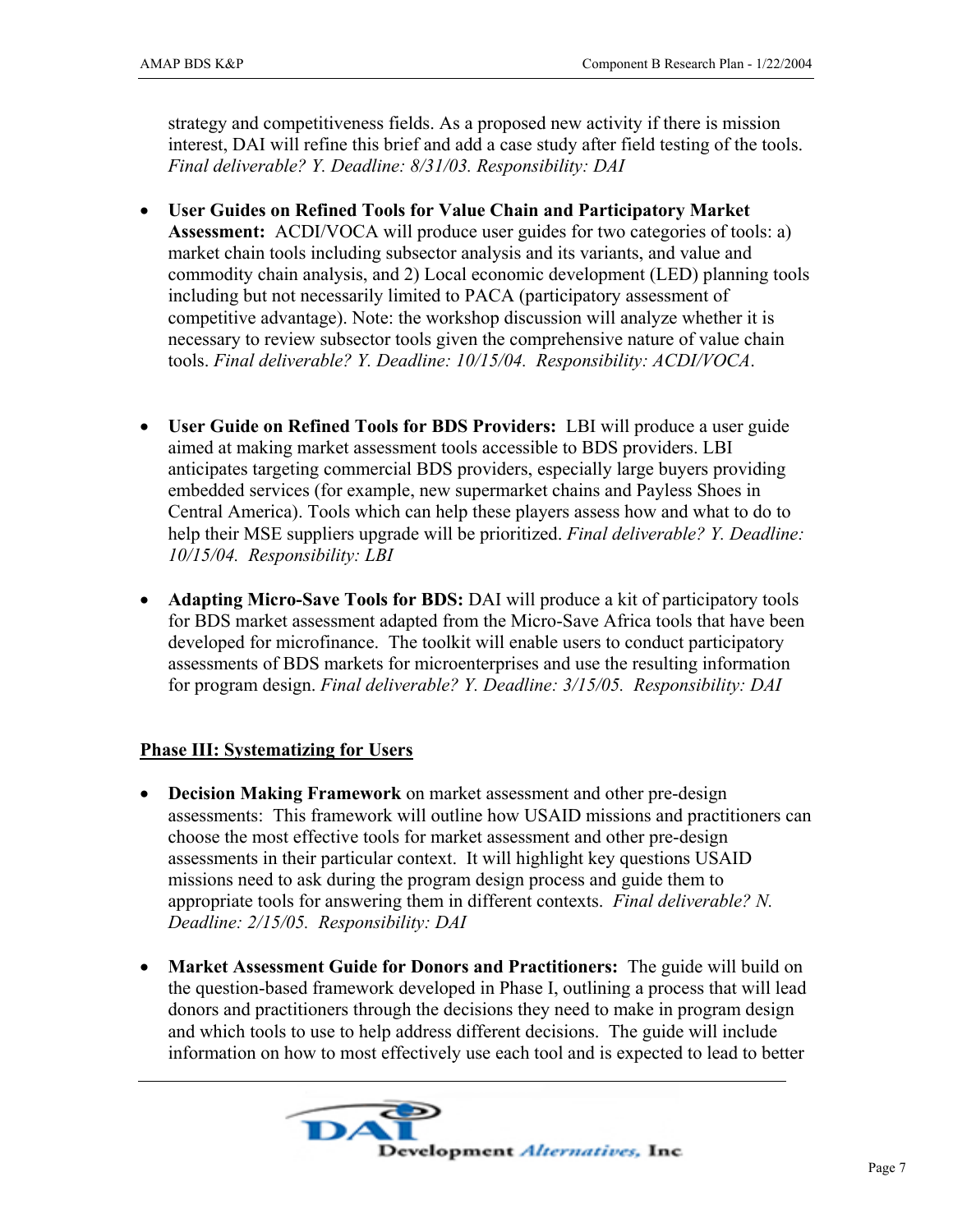strategy and competitiveness fields. As a proposed new activity if there is mission interest, DAI will refine this brief and add a case study after field testing of the tools. *Final deliverable? Y. Deadline: 8/31/03. Responsibility: DAI*

- **User Guides on Refined Tools for Value Chain and Participatory Market Assessment:** ACDI/VOCA will produce user guides for two categories of tools: a) market chain tools including subsector analysis and its variants, and value and commodity chain analysis, and 2) Local economic development (LED) planning tools including but not necessarily limited to PACA (participatory assessment of competitive advantage). Note: the workshop discussion will analyze whether it is necessary to review subsector tools given the comprehensive nature of value chain tools. *Final deliverable? Y. Deadline: 10/15/04. Responsibility: ACDI/VOCA*.
- **User Guide on Refined Tools for BDS Providers:** LBI will produce a user guide aimed at making market assessment tools accessible to BDS providers. LBI anticipates targeting commercial BDS providers, especially large buyers providing embedded services (for example, new supermarket chains and Payless Shoes in Central America). Tools which can help these players assess how and what to do to help their MSE suppliers upgrade will be prioritized. *Final deliverable? Y. Deadline: 10/15/04. Responsibility: LBI*
- **Adapting Micro-Save Tools for BDS:** DAI will produce a kit of participatory tools for BDS market assessment adapted from the Micro-Save Africa tools that have been developed for microfinance. The toolkit will enable users to conduct participatory assessments of BDS markets for microenterprises and use the resulting information for program design. *Final deliverable? Y. Deadline: 3/15/05. Responsibility: DAI*

### **Phase III: Systematizing for Users**

- **Decision Making Framework** on market assessment and other pre-design assessments: This framework will outline how USAID missions and practitioners can choose the most effective tools for market assessment and other pre-design assessments in their particular context. It will highlight key questions USAID missions need to ask during the program design process and guide them to appropriate tools for answering them in different contexts. *Final deliverable? N. Deadline: 2/15/05. Responsibility: DAI*
- **Market Assessment Guide for Donors and Practitioners:** The guide will build on the question-based framework developed in Phase I, outlining a process that will lead donors and practitioners through the decisions they need to make in program design and which tools to use to help address different decisions. The guide will include information on how to most effectively use each tool and is expected to lead to better